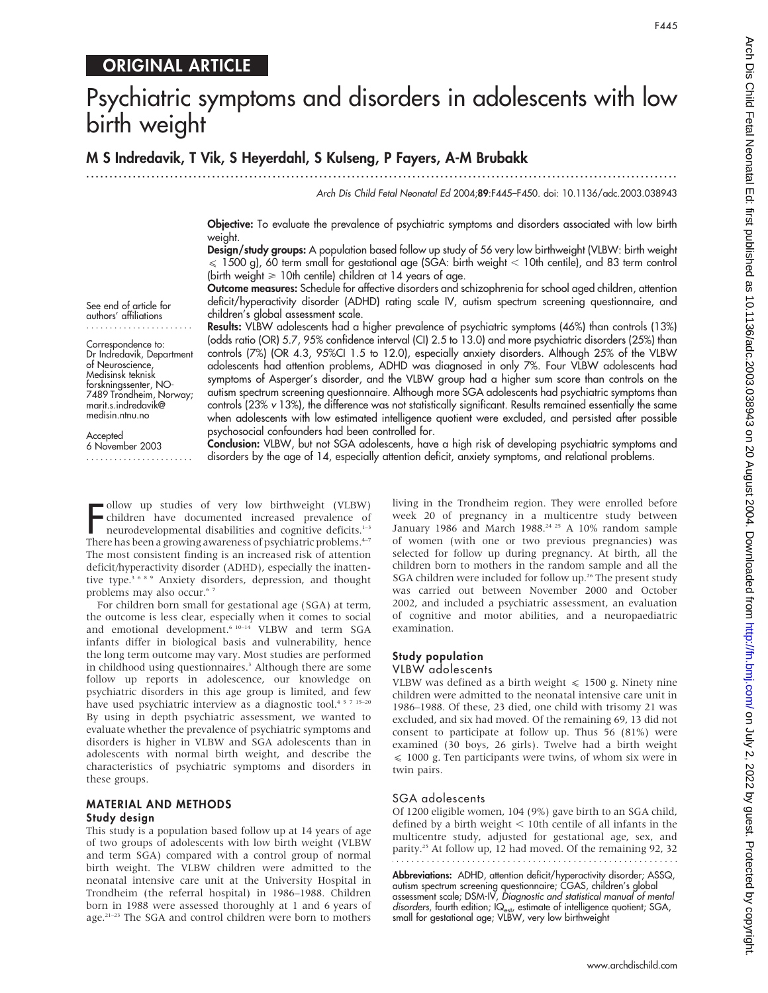## ORIGINAL ARTICLE

# Psychiatric symptoms and disorders in adolescents with low birth weight

## M S Indredavik, T Vik, S Heyerdahl, S Kulseng, P Fayers, A-M Brubakk

...............................................................................................................................

Arch Dis Child Fetal Neonatal Ed 2004;89:F445–F450. doi: 10.1136/adc.2003.038943

Objective: To evaluate the prevalence of psychiatric symptoms and disorders associated with low birth weight.

Design/study groups: A population based follow up study of 56 very low birthweight (VLBW: birth weight  $\leqslant$  1500 g), 60 term small for gestational age (SGA: birth weight  $<$  10th centile), and 83 term control (birth weight  $\geq 10$ th centile) children at 14 years of age.

Outcome measures: Schedule for affective disorders and schizophrenia for school aged children, attention deficit/hyperactivity disorder (ADHD) rating scale IV, autism spectrum screening questionnaire, and children's global assessment scale.

Dr Indredavik, Department 7489 Trondheim, Norway; Results: VLBW adolescents had a higher prevalence of psychiatric symptoms (46%) than controls (13%) (odds ratio (OR) 5.7, 95% confidence interval (CI) 2.5 to 13.0) and more psychiatric disorders (25%) than controls (7%) (OR 4.3, 95%CI 1.5 to 12.0), especially anxiety disorders. Although 25% of the VLBW adolescents had attention problems, ADHD was diagnosed in only 7%. Four VLBW adolescents had symptoms of Asperger's disorder, and the VLBW group had a higher sum score than controls on the autism spectrum screening questionnaire. Although more SGA adolescents had psychiatric symptoms than controls (23% v 13%), the difference was not statistically significant. Results remained essentially the same when adolescents with low estimated intelligence quotient were excluded, and persisted after possible psychosocial confounders had been controlled for.

**Accepted** 6 November 2003 .......................

marit.s.indredavik@ medisin.ntnu.no

See end of article for authors' affiliations ....................... Correspondence to:

of Neuroscience, Medisinsk teknisk forskningssenter, NO-

> Conclusion: VLBW, but not SGA adolescents, have a high risk of developing psychiatric symptoms and disorders by the age of 14, especially attention deficit, anxiety symptoms, and relational problems.

Follow up studies of very low birthweight (VLBW)<br>children have documented increased prevalence of<br>neurodevelopmental disabilities and cognitive deficits.<sup>1-3</sup><br>There has been a grouping automoreal of prushistric problems <sup>4</sup> children have documented increased prevalence of neurodevelopmental disabilities and cognitive deficits.1–3 There has been a growing awareness of psychiatric problems.<sup>4-7</sup> The most consistent finding is an increased risk of attention deficit/hyperactivity disorder (ADHD), especially the inattentive type.<sup>3689</sup> Anxiety disorders, depression, and thought problems may also occur.<sup>67</sup>

For children born small for gestational age (SGA) at term, the outcome is less clear, especially when it comes to social and emotional development.<sup>6 10–14</sup> VLBW and term SGA infants differ in biological basis and vulnerability, hence the long term outcome may vary. Most studies are performed in childhood using questionnaires.<sup>3</sup> Although there are some follow up reports in adolescence, our knowledge on psychiatric disorders in this age group is limited, and few have used psychiatric interview as a diagnostic tool.<sup>4 5 7 15-20</sup> By using in depth psychiatric assessment, we wanted to evaluate whether the prevalence of psychiatric symptoms and disorders is higher in VLBW and SGA adolescents than in adolescents with normal birth weight, and describe the characteristics of psychiatric symptoms and disorders in these groups.

#### MATERIAL AND METHODS Study design

This study is a population based follow up at 14 years of age of two groups of adolescents with low birth weight (VLBW and term SGA) compared with a control group of normal birth weight. The VLBW children were admitted to the neonatal intensive care unit at the University Hospital in Trondheim (the referral hospital) in 1986–1988. Children born in 1988 were assessed thoroughly at 1 and 6 years of age.<sup>21-23</sup> The SGA and control children were born to mothers

living in the Trondheim region. They were enrolled before week 20 of pregnancy in a multicentre study between January 1986 and March 1988.<sup>24 25</sup> A 10% random sample of women (with one or two previous pregnancies) was selected for follow up during pregnancy. At birth, all the children born to mothers in the random sample and all the SGA children were included for follow up.<sup>26</sup> The present study was carried out between November 2000 and October 2002, and included a psychiatric assessment, an evaluation of cognitive and motor abilities, and a neuropaediatric examination.

#### Study population VLBW adolescents

VLBW was defined as a birth weight  $\leq$  1500 g. Ninety nine children were admitted to the neonatal intensive care unit in 1986–1988. Of these, 23 died, one child with trisomy 21 was excluded, and six had moved. Of the remaining 69, 13 did not consent to participate at follow up. Thus 56 (81%) were examined (30 boys, 26 girls). Twelve had a birth weight  $\leqslant$  1000 g. Ten participants were twins, of whom six were in twin pairs.

#### SGA adolescents

Of 1200 eligible women, 104 (9%) gave birth to an SGA child, defined by a birth weight  $<$  10th centile of all infants in the multicentre study, adjusted for gestational age, sex, and parity.<sup>25</sup> At follow up, 12 had moved. Of the remaining 92, 32

Abbreviations: ADHD, attention deficit/hyperactivity disorder; ASSQ, autism spectrum screening questionnaire; CGAS, children's global assessment scale; DSM-IV, Diagnostic and statistical manual of mental *disorders,* fourth edition; IQ<sub>est</sub>, estimate of intelligence quotient; SGA,<br>small for gestational age; VLBW, very low birthweight

www.archdischild.com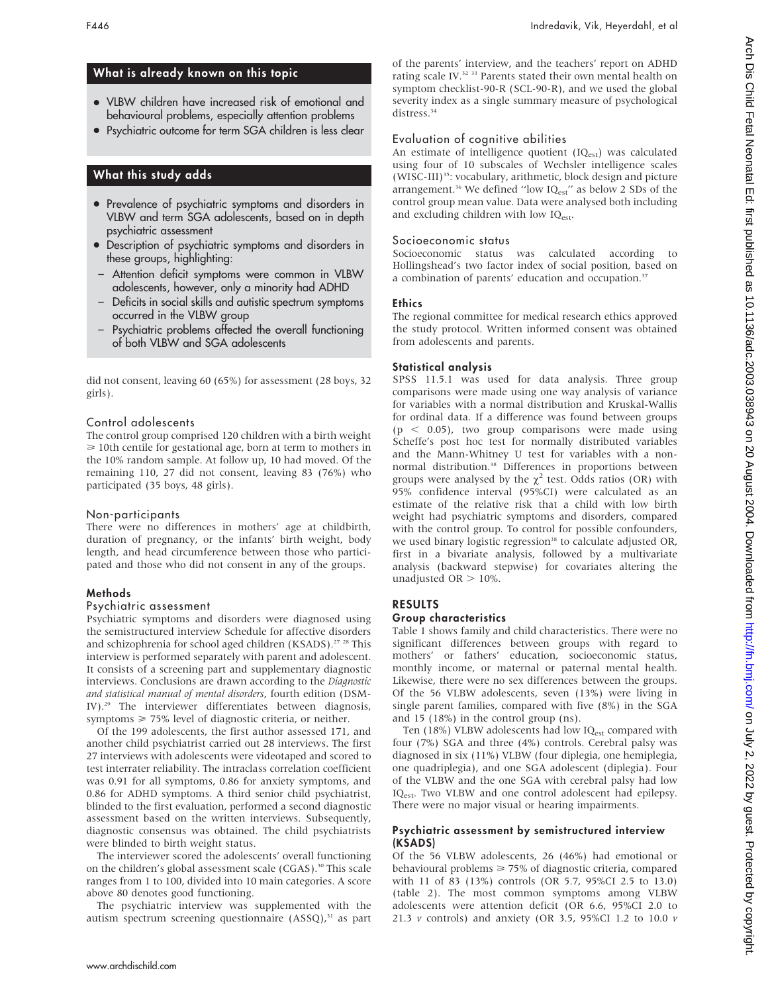## What is already known on this topic

- VLBW children have increased risk of emotional and behavioural problems, especially attention problems
- Psychiatric outcome for term SGA children is less clear

## What this study adds

- N Prevalence of psychiatric symptoms and disorders in VLBW and term SGA adolescents, based on in depth psychiatric assessment
- Description of psychiatric symptoms and disorders in these groups, highlighting:
- Attention deficit symptoms were common in VLBW adolescents, however, only a minority had ADHD
- Deficits in social skills and autistic spectrum symptoms occurred in the VLBW group
- Psychiatric problems affected the overall functioning of both VLBW and SGA adolescents

did not consent, leaving 60 (65%) for assessment (28 boys, 32 girls).

## Control adolescents

The control group comprised 120 children with a birth weight  $\geqslant$  10th centile for gestational age, born at term to mothers in the 10% random sample. At follow up, 10 had moved. Of the remaining 110, 27 did not consent, leaving 83 (76%) who participated (35 boys, 48 girls).

#### Non-participants

There were no differences in mothers' age at childbirth, duration of pregnancy, or the infants' birth weight, body length, and head circumference between those who participated and those who did not consent in any of the groups.

## Methods

#### Psychiatric assessment

Psychiatric symptoms and disorders were diagnosed using the semistructured interview Schedule for affective disorders and schizophrenia for school aged children (KSADS).<sup>27-28</sup> This interview is performed separately with parent and adolescent. It consists of a screening part and supplementary diagnostic interviews. Conclusions are drawn according to the Diagnostic and statistical manual of mental disorders, fourth edition (DSM-IV).29 The interviewer differentiates between diagnosis, symptoms  $\geq 75\%$  level of diagnostic criteria, or neither.

Of the 199 adolescents, the first author assessed 171, and another child psychiatrist carried out 28 interviews. The first 27 interviews with adolescents were videotaped and scored to test interrater reliability. The intraclass correlation coefficient was 0.91 for all symptoms, 0.86 for anxiety symptoms, and 0.86 for ADHD symptoms. A third senior child psychiatrist, blinded to the first evaluation, performed a second diagnostic assessment based on the written interviews. Subsequently, diagnostic consensus was obtained. The child psychiatrists were blinded to birth weight status.

The interviewer scored the adolescents' overall functioning on the children's global assessment scale (CGAS).<sup>30</sup> This scale ranges from 1 to 100, divided into 10 main categories. A score above 80 denotes good functioning.

The psychiatric interview was supplemented with the autism spectrum screening questionnaire  $(ASSQ)$ ,<sup>31</sup> as part of the parents' interview, and the teachers' report on ADHD rating scale IV.<sup>32</sup> <sup>33</sup> Parents stated their own mental health on symptom checklist-90-R (SCL-90-R), and we used the global severity index as a single summary measure of psychological distress.<sup>34</sup>

## Evaluation of cognitive abilities

An estimate of intelligence quotient (IQ<sub>est</sub>) was calculated using four of 10 subscales of Wechsler intelligence scales (WISC-III)<sup>35</sup>: vocabulary, arithmetic, block design and picture arrangement.<sup>36</sup> We defined "low IQ<sub>est</sub>" as below 2 SDs of the control group mean value. Data were analysed both including and excluding children with low IQ<sub>est</sub>.

## Socioeconomic status

Socioeconomic status was calculated according to Hollingshead's two factor index of social position, based on a combination of parents' education and occupation.<sup>37</sup>

## **Ethics**

The regional committee for medical research ethics approved the study protocol. Written informed consent was obtained from adolescents and parents.

## Statistical analysis

SPSS 11.5.1 was used for data analysis. Three group comparisons were made using one way analysis of variance for variables with a normal distribution and Kruskal-Wallis for ordinal data. If a difference was found between groups  $(p < 0.05)$ , two group comparisons were made using Scheffe's post hoc test for normally distributed variables and the Mann-Whitney U test for variables with a nonnormal distribution.<sup>38</sup> Differences in proportions between groups were analysed by the  $\chi^2$  test. Odds ratios (OR) with 95% confidence interval (95%CI) were calculated as an estimate of the relative risk that a child with low birth weight had psychiatric symptoms and disorders, compared with the control group. To control for possible confounders, we used binary logistic regression<sup>38</sup> to calculate adjusted OR, first in a bivariate analysis, followed by a multivariate analysis (backward stepwise) for covariates altering the unadjusted OR  $>$  10%.

## RESULTS

#### Group characteristics

Table 1 shows family and child characteristics. There were no significant differences between groups with regard to mothers' or fathers' education, socioeconomic status, monthly income, or maternal or paternal mental health. Likewise, there were no sex differences between the groups. Of the 56 VLBW adolescents, seven (13%) were living in single parent families, compared with five (8%) in the SGA and 15 (18%) in the control group (ns).

Ten (18%) VLBW adolescents had low IQ<sub>est</sub> compared with four (7%) SGA and three (4%) controls. Cerebral palsy was diagnosed in six (11%) VLBW (four diplegia, one hemiplegia, one quadriplegia), and one SGA adolescent (diplegia). Four of the VLBW and the one SGA with cerebral palsy had low IQest. Two VLBW and one control adolescent had epilepsy. There were no major visual or hearing impairments.

## Psychiatric assessment by semistructured interview (KSADS)

Of the 56 VLBW adolescents, 26 (46%) had emotional or behavioural problems > 75% of diagnostic criteria, compared with 11 of 83 (13%) controls (OR 5.7, 95%CI 2.5 to 13.0) (table 2). The most common symptoms among VLBW adolescents were attention deficit (OR 6.6, 95%CI 2.0 to 21.3  $\nu$  controls) and anxiety (OR 3.5, 95%CI 1.2 to 10.0  $\nu$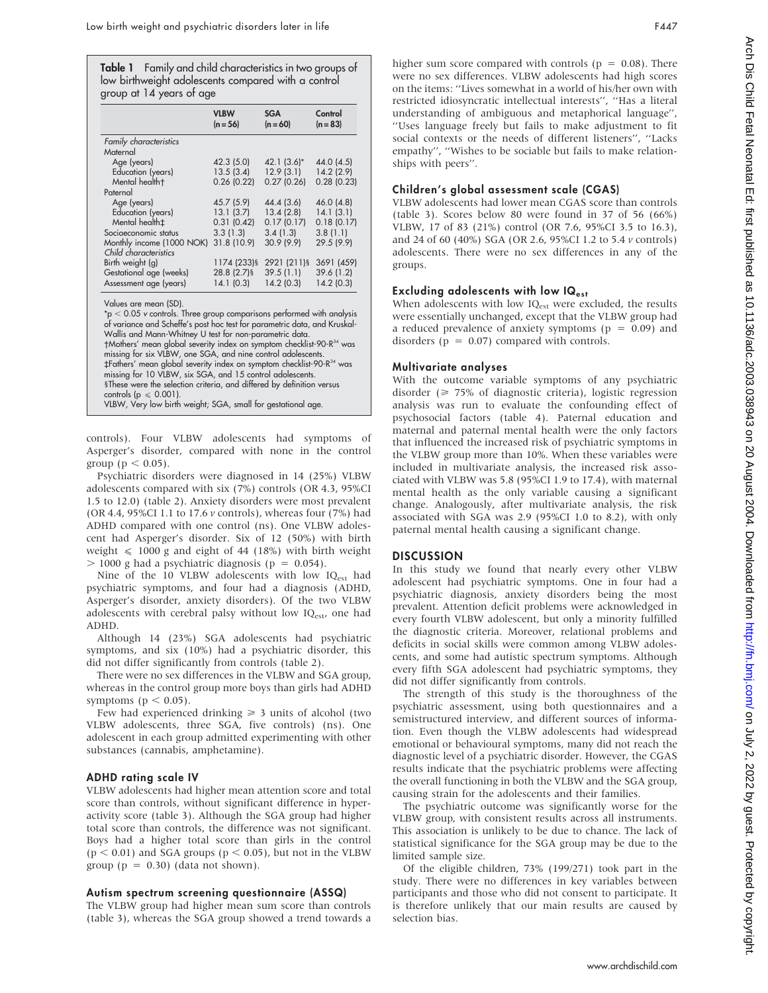Table 1 Family and child characteristics in two groups of low birthweight adolescents compared with a control group at 14 years of age

| <b>VLBW</b><br>$(n = 56)$ | <b>SGA</b><br>$(n = 60)$ | Control<br>$(n = 83)$ |
|---------------------------|--------------------------|-----------------------|
|                           |                          |                       |
|                           |                          |                       |
| 42.3 (5.0)                | 42.1 $(3.6)^*$           | 44.0 (4.5)            |
| 13.5(3.4)                 | 12.9(3.1)                | 14.2(2.9)             |
| 0.26(0.22)                | 0.27(0.26)               | 0.28(0.23)            |
|                           |                          |                       |
| 45.7 (5.9)                | 44.4 (3.6)               | 46.0 (4.8)            |
| 13.1(3.7)                 | 13.4(2.8)                | 14.1(3.1)             |
| 0.31(0.42)                | 0.17(0.17)               | 0.18(0.17)            |
| 3.3(1.3)                  | 3.4(1.3)                 | 3.8(1.1)              |
| 31.8 (10.9)               | 30.9 (9.9)               | 29.5 (9.9)            |
|                           |                          |                       |
| 1174 (233)§               | 2921 (211) §             | 3691 (459)            |
| $28.8(2.7)$ §             | 39.5(1.1)                | 39.6 (1.2)            |
| 14.1(0.3)                 | 14.2(0.3)                | 14.2(0.3)             |
|                           |                          |                       |

Values are mean (SD).

 $*p < 0.05$  v controls. Three group comparisons performed with analysis of variance and Scheffe's post hoc test for parametric data, and Kruskal-Wallis and Mann-Whitney U test for non-parametric data. Mothers' mean global severity index on symptom checklist-90-R<sup>34</sup> was missing for six VLBW, one SGA, and nine control adolescents. `Fathers' mean global severity index on symptom checklist-90-R<sup>34</sup> was missing for 10 VLBW, six SGA, and 15 control adolescents. §These were the selection criteria, and differed by definition versus controls  $(p \le 0.001)$ . VLBW, Very low birth weight; SGA, small for gestational age.

controls). Four VLBW adolescents had symptoms of Asperger's disorder, compared with none in the control group ( $p < 0.05$ ).

Psychiatric disorders were diagnosed in 14 (25%) VLBW adolescents compared with six (7%) controls (OR 4.3, 95%CI 1.5 to 12.0) (table 2). Anxiety disorders were most prevalent (OR 4.4, 95%CI 1.1 to 17.6 v controls), whereas four (7%) had ADHD compared with one control (ns). One VLBW adolescent had Asperger's disorder. Six of 12 (50%) with birth weight  $\leq 1000$  g and eight of 44 (18%) with birth weight  $>$  1000 g had a psychiatric diagnosis ( $p = 0.054$ ).

Nine of the 10 VLBW adolescents with low  $IQ_{est}$  had psychiatric symptoms, and four had a diagnosis (ADHD, Asperger's disorder, anxiety disorders). Of the two VLBW adolescents with cerebral palsy without low IQ<sub>est</sub>, one had ADHD.

Although 14 (23%) SGA adolescents had psychiatric symptoms, and six (10%) had a psychiatric disorder, this did not differ significantly from controls (table 2).

There were no sex differences in the VLBW and SGA group, whereas in the control group more boys than girls had ADHD symptoms ( $p < 0.05$ ).

Few had experienced drinking  $\geq 3$  units of alcohol (two VLBW adolescents, three SGA, five controls) (ns). One adolescent in each group admitted experimenting with other substances (cannabis, amphetamine).

#### ADHD rating scale IV

VLBW adolescents had higher mean attention score and total score than controls, without significant difference in hyperactivity score (table 3). Although the SGA group had higher total score than controls, the difference was not significant. Boys had a higher total score than girls in the control  $(p < 0.01)$  and SGA groups  $(p < 0.05)$ , but not in the VLBW group ( $p = 0.30$ ) (data not shown).

#### Autism spectrum screening questionnaire (ASSQ)

The VLBW group had higher mean sum score than controls (table 3), whereas the SGA group showed a trend towards a

Arch Dis Child Fetal Neonatal Ed: first published as 10.1136/adc.2003.038943 on 20 August 2004. Downloaded from http://fn.bmj.com/ on July 2, 2022 by guest. Protected by copyright on July 2, 2022 by guest. Protected by copyright. <http://fn.bmj.com/> Arch Dis Child Fetal Neonatal Ed: first published as 10.1136/adc.2003.038943 on 20 August 2004. Downloaded from

higher sum score compared with controls ( $p = 0.08$ ). There were no sex differences. VLBW adolescents had high scores on the items: ''Lives somewhat in a world of his/her own with restricted idiosyncratic intellectual interests'', ''Has a literal understanding of ambiguous and metaphorical language'', ''Uses language freely but fails to make adjustment to fit social contexts or the needs of different listeners'', ''Lacks empathy'', ''Wishes to be sociable but fails to make relationships with peers''.

#### Children's global assessment scale (CGAS)

VLBW adolescents had lower mean CGAS score than controls (table 3). Scores below 80 were found in 37 of 56 (66%) VLBW, 17 of 83 (21%) control (OR 7.6, 95%CI 3.5 to 16.3), and 24 of 60 (40%) SGA (OR 2.6, 95%CI 1.2 to 5.4 v controls) adolescents. There were no sex differences in any of the groups.

#### Excluding adolescents with low  $IQ_{est}$

When adolescents with low IQ<sub>est</sub> were excluded, the results were essentially unchanged, except that the VLBW group had a reduced prevalence of anxiety symptoms ( $p = 0.09$ ) and disorders ( $p = 0.07$ ) compared with controls.

#### Multivariate analyses

With the outcome variable symptoms of any psychiatric disorder  $(\geq 75\%$  of diagnostic criteria), logistic regression analysis was run to evaluate the confounding effect of psychosocial factors (table 4). Paternal education and maternal and paternal mental health were the only factors that influenced the increased risk of psychiatric symptoms in the VLBW group more than 10%. When these variables were included in multivariate analysis, the increased risk associated with VLBW was 5.8 (95%CI 1.9 to 17.4), with maternal mental health as the only variable causing a significant change. Analogously, after multivariate analysis, the risk associated with SGA was 2.9 (95%CI 1.0 to 8.2), with only paternal mental health causing a significant change.

#### **DISCUSSION**

In this study we found that nearly every other VLBW adolescent had psychiatric symptoms. One in four had a psychiatric diagnosis, anxiety disorders being the most prevalent. Attention deficit problems were acknowledged in every fourth VLBW adolescent, but only a minority fulfilled the diagnostic criteria. Moreover, relational problems and deficits in social skills were common among VLBW adolescents, and some had autistic spectrum symptoms. Although every fifth SGA adolescent had psychiatric symptoms, they did not differ significantly from controls.

The strength of this study is the thoroughness of the psychiatric assessment, using both questionnaires and a semistructured interview, and different sources of information. Even though the VLBW adolescents had widespread emotional or behavioural symptoms, many did not reach the diagnostic level of a psychiatric disorder. However, the CGAS results indicate that the psychiatric problems were affecting the overall functioning in both the VLBW and the SGA group, causing strain for the adolescents and their families.

The psychiatric outcome was significantly worse for the VLBW group, with consistent results across all instruments. This association is unlikely to be due to chance. The lack of statistical significance for the SGA group may be due to the limited sample size.

Of the eligible children, 73% (199/271) took part in the study. There were no differences in key variables between participants and those who did not consent to participate. It is therefore unlikely that our main results are caused by selection bias.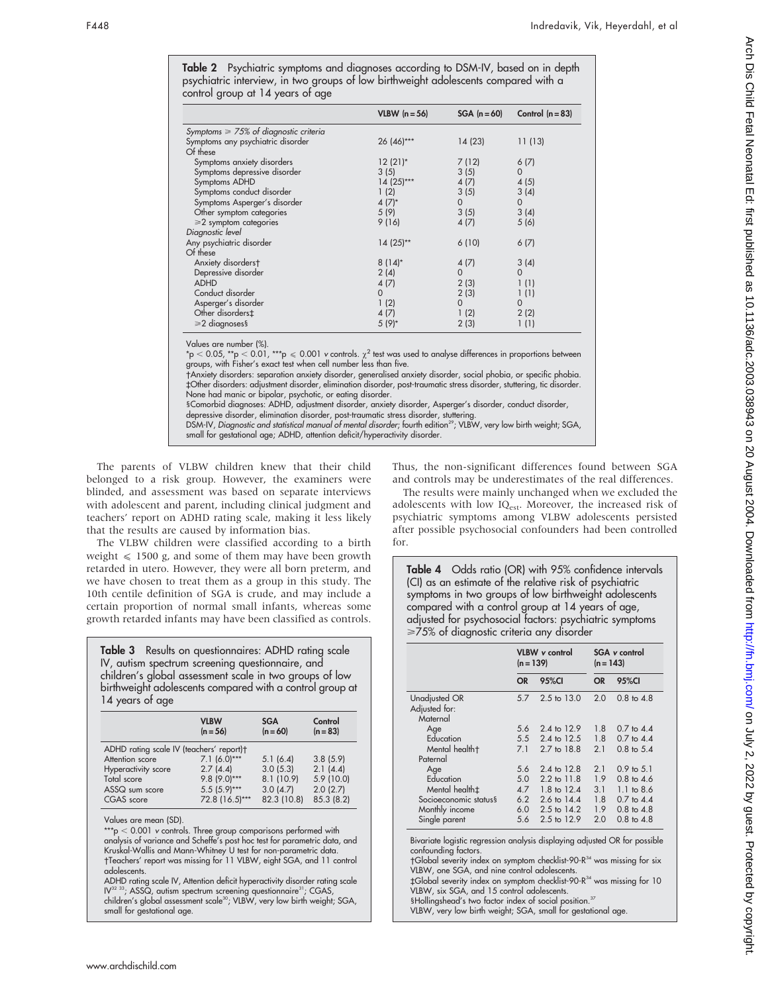| <b>Table 2</b> Psychiatric symptoms and diagnoses according to DSM-IV, based on in depth |  |
|------------------------------------------------------------------------------------------|--|
| psychiatric interview, in two groups of low birthweight adolescents compared with a      |  |
| control group at 14 years of age                                                         |  |

|                                                                                                                                                                      | $VLBW (n = 56)$                                                       | $SGA (n = 60)$                                                | Control $(n = 83)$                                                 |
|----------------------------------------------------------------------------------------------------------------------------------------------------------------------|-----------------------------------------------------------------------|---------------------------------------------------------------|--------------------------------------------------------------------|
| Symptoms $\geq$ 75% of diagnostic criteria<br>Symptoms any psychiatric disorder<br>Of these                                                                          | 26 (46)***                                                            | 14 (23)                                                       | 11 (13)                                                            |
| Symptoms anxiety disorders<br>Symptoms depressive disorder<br>Symptoms ADHD<br>Symptoms conduct disorder<br>Symptoms Asperger's disorder<br>Other symptom categories | $12(21)^*$<br>3(5)<br>$14(25)***$<br>1(2)<br>$4(7)^{*}$<br>5(9)       | 7(12)<br>3(5)<br>4 (7)<br>3(5)<br>$\Omega$<br>3(5)            | 6(7)<br>$\Omega$<br>4(5)<br>3(4)<br>$\mathbf 0$<br>3(4)            |
| $\geq 2$ symptom categories<br>Diagnostic level<br>Any psychiatric disorder                                                                                          | 9 (16)<br>$14(25)$ **                                                 | 4(7)<br>6(10)                                                 | 5(6)<br>6(7)                                                       |
| Of these<br>Anxiety disorderst<br>Depressive disorder<br><b>ADHD</b><br>Conduct disorder<br>Asperger's disorder<br>Other disorders <sup>±</sup><br>≥2 diagnoses§     | $8(14)^*$<br>2(4)<br>4 (7)<br>$\Omega$<br>1(2)<br>4 (7)<br>$5(9)^{*}$ | 4 (7)<br>$\Omega$<br>2(3)<br>2(3)<br>$\Omega$<br>1(2)<br>2(3) | 3(4)<br>$\mathbf 0$<br>1(1)<br>1(1)<br>$\mathbf 0$<br>2(2)<br>1(1) |

Values are number (%).

\*p < 0.05, \*\*p < 0.01, \*\*\*p  $\leqslant$  0.001 v controls.  $\chi^2$  test was used to analyse differences in proportions between groups, with Fisher's exact test when cell number less than five.

Anxiety disorders: separation anxiety disorder, generalised anxiety disorder, social phobia, or specific phobia. `Other disorders: adjustment disorder, elimination disorder, post-traumatic stress disorder, stuttering, tic disorder. None had manic or bipolar, psychotic, or eating disorder.

1Comorbid diagnoses: ADHD, adjustment disorder, anxiety disorder, Asperger's disorder, conduct disorder,

depressive disorder, elimination disorder, post-traumatic stress disorder, stuttering.

DSM-IV, Diagnostic and statistical manual of mental disorder; fourth edition<sup>29</sup>; VLBW, very low birth weight; SGA, small for gestational age; ADHD, attention deficit/hyperactivity disorder.

The parents of VLBW children knew that their child belonged to a risk group. However, the examiners were blinded, and assessment was based on separate interviews with adolescent and parent, including clinical judgment and teachers' report on ADHD rating scale, making it less likely that the results are caused by information bias.

The VLBW children were classified according to a birth weight  $\leq 1500$  g, and some of them may have been growth retarded in utero. However, they were all born preterm, and we have chosen to treat them as a group in this study. The 10th centile definition of SGA is crude, and may include a certain proportion of normal small infants, whereas some growth retarded infants may have been classified as controls.

Table 3 Results on questionnaires: ADHD rating scale IV, autism spectrum screening questionnaire, and children's global assessment scale in two groups of low birthweight adolescents compared with a control group at 14 years of age

|                                          | <b>VLBW</b><br>$(n = 56)$ | <b>SGA</b><br>$(n = 60)$ | Control<br>$(n = 83)$ |
|------------------------------------------|---------------------------|--------------------------|-----------------------|
| ADHD rating scale IV (teachers' report)t |                           |                          |                       |
| Attention score                          | $7.1(6.0***$              | 5.1(6.4)                 | 3.8(5.9)              |
| Hyperactivity score                      | 2.7(4.4)                  | 3.0(5.3)                 | 2.1(4.4)              |
| Total score                              | $9.8(9.0***$              | 8.1 (10.9)               | 5.9(10.0)             |
| ASSQ sum score                           | $5.5(5.9)***$             | 3.0(4.7)                 | 2.0(2.7)              |
| <b>CGAS</b> score                        | 72.8 (16.5)***            | 82.3 (10.8)              | 85.3 (8.2)            |

Values are mean (SD).

\*\*\*p  $<$  0.001 v controls. Three group comparisons performed with analysis of variance and Scheffe's post hoc test for parametric data, and Kruskal-Wallis and Mann-Whitney U test for non-parametric data.

Teachers' report was missing for 11 VLBW, eight SGA, and 11 control adolescents.

ADHD rating scale IV, Attention deficit hyperactivity disorder rating scale  $IV^{32,33}$ ; ASSQ, autism spectrum screening questionnaire<sup>31</sup>; CGAS, children's global assessment scale<sup>30</sup>; VLBW, very low birth weight; SGA, small for gestational age.

Thus, the non-significant differences found between SGA and controls may be underestimates of the real differences.

The results were mainly unchanged when we excluded the adolescents with low  $IQ_{est}$ . Moreover, the increased risk of psychiatric symptoms among VLBW adolescents persisted after possible psychosocial confounders had been controlled for.

Table 4 Odds ratio (OR) with 95% confidence intervals (CI) as an estimate of the relative risk of psychiatric symptoms in two groups of low birthweight adolescents compared with a control group at 14 years of age, adjusted for psychosocial factors: psychiatric symptoms >75% of diagnostic criteria any disorder

|                                            | VLBW v control<br>$(n = 139)$ |                        | SGA v control<br>$(n = 143)$ |                       |
|--------------------------------------------|-------------------------------|------------------------|------------------------------|-----------------------|
|                                            | <b>OR</b>                     | 95%CI                  | OR                           | 95%CI                 |
| Unadjusted OR<br>Adjusted for:<br>Maternal | 5.7                           | 2.5 to 13.0            | 2.0                          | $0.8$ to $4.8$        |
| Age                                        | 5.6                           | 2.4 to 12.9            | 1.8                          | $0.7$ to $4.4$        |
| Education                                  | 5.5                           | 2.4 to 12.5            | 1.8                          | $0.7$ to $4.4$        |
| Mental health+                             | 7.1                           | 2.7 to 18.8            | 2.1                          | $0.8$ to $5.4$        |
| Paternal                                   |                               |                        |                              |                       |
| Age                                        | 5.6                           | 2.4 to 12.8            | 2.1                          | $0.9$ to $5.1$        |
| Education                                  | 5.0                           | $2.2 \text{ to } 11.8$ | 1.9                          | $0.8 \text{ to } 4.6$ |
| Mental health <sup>+</sup>                 | 4.7                           | 1.8 to 12.4            | 3.1                          | $1.1 \text{ to } 8.6$ |
| Socioeconomic status§                      | 6.2                           | 2.6 to $14.4$          | 1.8                          | $0.7$ to $4.4$        |
| Monthly income                             | 6.0                           | $2.5 \text{ to } 14.2$ | 1.9                          | $0.8$ to $4.8$        |
| Single parent                              | 5.6                           | 2.5 to 12.9            | 2.0                          | $0.8$ to $4.8$        |

Bivariate logistic regression analysis displaying adjusted OR for possible confounding factors.

tGlobal severity index on symptom checklist-90-R<sup>34</sup> was missing for six VLBW, one SGA, and nine control adolescents.

#Global severity index on symptom checklist-90-R<sup>34</sup> was missing for 10 VLBW, six SGA, and 15 control adolescents.

§Hollingshead's two factor index of social position.<sup>37</sup>

VLBW, very low birth weight; SGA, small for gestational age.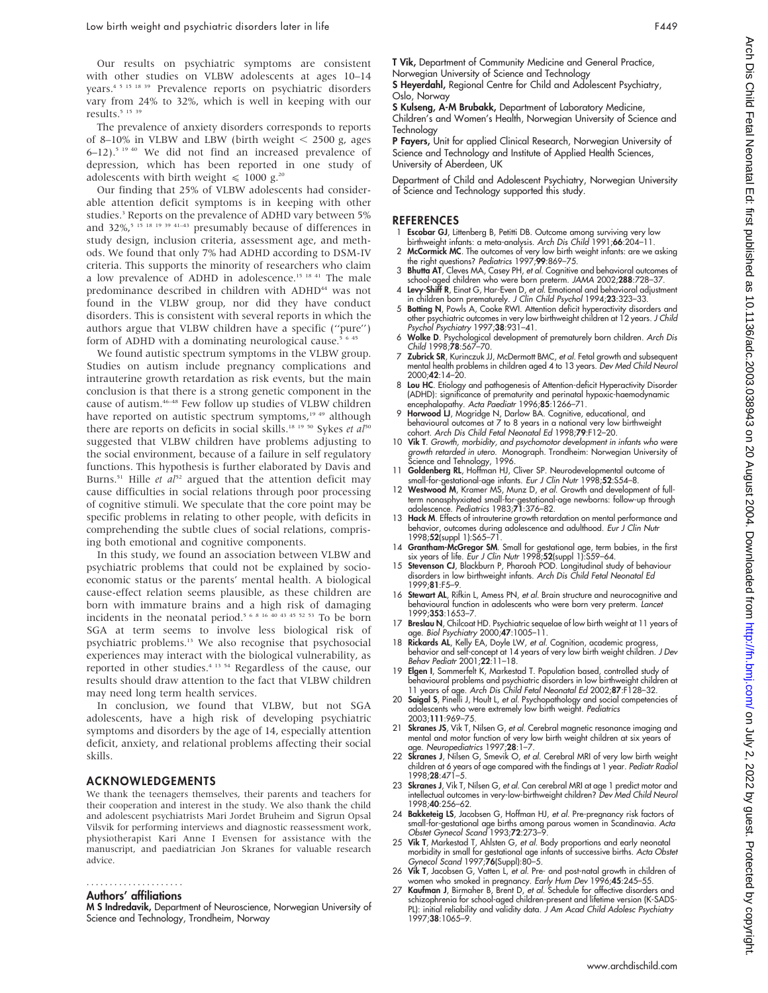Our results on psychiatric symptoms are consistent with other studies on VLBW adolescents at ages 10–14 years.4 5 15 18 39 Prevalence reports on psychiatric disorders vary from 24% to 32%, which is well in keeping with our results.<sup>5</sup> 15 39

The prevalence of anxiety disorders corresponds to reports of 8–10% in VLBW and LBW (birth weight  $<$  2500 g, ages 6–12).5 19 40 We did not find an increased prevalence of depression, which has been reported in one study of adolescents with birth weight  $\,\leqslant\,1000$  g. $^{20}$ 

Our finding that 25% of VLBW adolescents had considerable attention deficit symptoms is in keeping with other studies.<sup>3</sup> Reports on the prevalence of ADHD vary between 5% and  $32\%$ ,<sup>5</sup> 15 18 19 39 41-43 presumably because of differences in study design, inclusion criteria, assessment age, and methods. We found that only 7% had ADHD according to DSM-IV criteria. This supports the minority of researchers who claim a low prevalence of ADHD in adolescence.<sup>15 18 41</sup> The male predominance described in children with ADHD<sup>44</sup> was not found in the VLBW group, nor did they have conduct disorders. This is consistent with several reports in which the authors argue that VLBW children have a specific (''pure'') form of ADHD with a dominating neurological cause.<sup>5 6 45</sup>

We found autistic spectrum symptoms in the VLBW group. Studies on autism include pregnancy complications and intrauterine growth retardation as risk events, but the main conclusion is that there is a strong genetic component in the cause of autism.46–48 Few follow up studies of VLBW children have reported on autistic spectrum symptoms,<sup>19 49</sup> although there are reports on deficits in social skills.<sup>18 19 50</sup> Sykes et al<sup>50</sup> suggested that VLBW children have problems adjusting to the social environment, because of a failure in self regulatory functions. This hypothesis is further elaborated by Davis and Burns.<sup>51</sup> Hille *et al*<sup>52</sup> argued that the attention deficit may cause difficulties in social relations through poor processing of cognitive stimuli. We speculate that the core point may be specific problems in relating to other people, with deficits in comprehending the subtle clues of social relations, comprising both emotional and cognitive components.

In this study, we found an association between VLBW and psychiatric problems that could not be explained by socioeconomic status or the parents' mental health. A biological cause-effect relation seems plausible, as these children are born with immature brains and a high risk of damaging incidents in the neonatal period.<sup>5 6 8</sup> 16 40 43 45 52 53 To be born SGA at term seems to involve less biological risk of psychiatric problems.13 We also recognise that psychosocial experiences may interact with the biological vulnerability, as reported in other studies.4 13 54 Regardless of the cause, our results should draw attention to the fact that VLBW children may need long term health services.

In conclusion, we found that VLBW, but not SGA adolescents, have a high risk of developing psychiatric symptoms and disorders by the age of 14, especially attention deficit, anxiety, and relational problems affecting their social skills.

#### ACKNOWLEDGEMENTS

We thank the teenagers themselves, their parents and teachers for their cooperation and interest in the study. We also thank the child and adolescent psychiatrists Mari Jordet Bruheim and Sigrun Opsal Vilsvik for performing interviews and diagnostic reassessment work, physiotherapist Kari Anne I Evensen for assistance with the manuscript, and paediatrician Jon Skranes for valuable research advice.

## .....................

Authors' affiliations

T Vik, Department of Community Medicine and General Practice, Norwegian University of Science and Technology

S Heyerdahl, Regional Centre for Child and Adolescent Psychiatry, Oslo, Norway

S Kulseng, A-M Brubakk, Department of Laboratory Medicine,

Children's and Women's Health, Norwegian University of Science and Technology

P Fayers, Unit for applied Clinical Research, Norwegian University of Science and Technology and Institute of Applied Health Sciences, University of Aberdeen, UK

Department of Child and Adolescent Psychiatry, Norwegian University of Science and Technology supported this study.

#### REFERENCES

- 1 Escobar GJ, Littenberg B, Petitti DB. Outcome among surviving very low birthweight infants: a meta-analysis. Arch Dis Child 1991;66:204–11.
- 2 McCormick MC. The outcomes of very low birth weight infants: are we asking the right questions? Pediatrics 1997;99:869–75.
- 3 Bhutta AT, Cleves MA, Casey PH, et al. Cognitive and behavioral outcomes of school-aged children who were born preterm. JAMA 2002;**288**:728–37.<br>4 Le**vy-Shiff R**, Einat G, Har-Even D, *et al*. Emotional and behavioral adjustment
- 
- in children born prematurely. *J Clin Child Psychol* 1994;**23**:323–33.<br>5 **Botting N**, Powls A, Cooke RWI. Attention deficit hyperactivity disorders and<br>other psychiatric outcomes in very low birthweight children at 12 year Psychol Psychiatry 1997;38:931–41.
- 6 Wolke D. Psychological development of prematurely born children. Arch Dis Child 1998;78:567–70.
- 7 Zubrick SR, Kurinczuk JJ, McDermott BMC, et al. Fetal growth and subsequent mental health problems in children aged 4 to 13 years. Dev Med Child Neurol 2000;42:14–20.
- 8 Lou HC. Etiology and pathogenesis of Attention-deficit Hyperactivity Disorder (ADHD): significance of prematurity and perinatal hypoxic-haemodynamic encephalopathy. Acta Paediatr 1996;85:1266-71.
- 9 Horwood LJ, Mogridge N, Darlow BA. Cognitive, educational, and behavioural outcomes at 7 to 8 years in a national very low birthweight cohort. Arch Dis Child Fetal Neonatal Ed 1998;79:F12-20.
- 10 Vik T. Growth, morbidity, and psychomotor development in infants who were growth retarded in utero. Monograph. Trondheim: Norwegian University of
- Science and Tehnology, 1996.<br>11 **Goldenberg RL**, Hoffman HJ, Cliver SP. Neurodevelopmental outcome of small-for-gestational-age infants. Eur J Clin Nutr 1998;52:S54–8.
- 12 Westwood M, Kramer MS, Munz D, et al. Growth and development of fullterm nonasphyxiated small-for-gestational-age newborns: follow-up through adolescence. Pediatrics 1983;71:376–82.
- 13 Hack M. Effects of intrauterine growth retardation on mental performance and
- behavior, outcomes during adolescence and adulthood. *Eur J Clin Nutr*<br>1998**;52**(suppl 1):S65–71.<br>14 **Grantham-McGregor SM**. Small for gestational age, term babies, in the first<br>six years of life. *Eur J Clin Nutr* 1998**;5**
- 15 Stevenson CJ, Blackburn P, Pharoah POD. Longitudinal study of behaviour disorders in low birthweight infants. Arch Dis Child Fetal Neonatal Ed 1999;81:F5–9.
- 16 Stewart AL, Rifkin L, Amess PN, et al. Brain structure and neurocognitive and behavioural function in adolescents who were born very preterm. Lancet 1999;353:1653–7.
- 17 Breslau N, Chilcoat HD. Psychiatric sequelae of low birth weight at 11 years of age. Biol Psychiatry 2000;47:1005–11.
- 18 Rickards AL, Kelly EA, Doyle LW, et al. Cognition, academic progress, behavior and self-concept at 14 years of very low birth weight children. J Dev Behav Pediatr 2001;22:11–18.
- 19 Elgen I, Sommerfelt K, Markestad T. Population based, controlled study of behavioural problems and psychiatric disorders in low birthweight children at<br>11 years of age. *Arch Dis Child Fetal Neonatal Ed* 2002;**87**:F128–32.<br>20 **Saigal S**, Pinelli J, Hoult L, *et al.* Psychopathology and social co
- adolescents who were extremely low birth weight. Pediatrics 2003;111:969–75.
- 21 Skranes JS, Vik T, Nilsen G, et al. Cerebral magnetic resonance imaging and mental and motor function of very low birth weight children at six years of<br>age. *Neuropediatrics* 1997;**28**:1–7.
- 22 Skranes J, Nilsen G, Smevik O, et al. Cerebral MRI of very low birth weight children at 6 years of age compared with the findings at 1 year. Pediatr Radiol 1998;28:471–5.
- 23 Skranes J, Vik T, Nilsen G, et al. Can cerebral MRI at age 1 predict motor and intellectual outcomes in very-low-birthweight children? Dev Med Child Neurol 1998;40:256–62.
- 24 Bakketeig LS, Jacobsen G, Hoffman HJ, et al. Pre-pregnancy risk factors of small-for-gestational age births among parous women in Scandinavia. Acta Obstet Gynecol Scand 1993;72:273–9.
- 25 Vik T, Markestad T, Ahlsten G, et al. Body proportions and early neonatal morbidity in small for gestational age infants of successive births. Acta Obstet Gynecol Scand 1997;76(Suppl):80–5.
- 26 Vik T, Jacobsen G, Vatten L, et al. Pre- and post-natal growth in children of
- women who smoked in pregnancy. *Early Hum Dev* 1996;**45**:245–55.<br>27 **Kaufman J**, Birmaher B, Brent D, *et al*. Schedule for affective disorders and schizophrenia for school-aged children-present and lifetime version (K-SADS-PL): initial reliability and validity data. J Am Acad Child Adolesc Psychiatry 1997;38:1065–9.

M S Indredavik, Department of Neuroscience, Norwegian University of Science and Technology, Trondheim, Norway